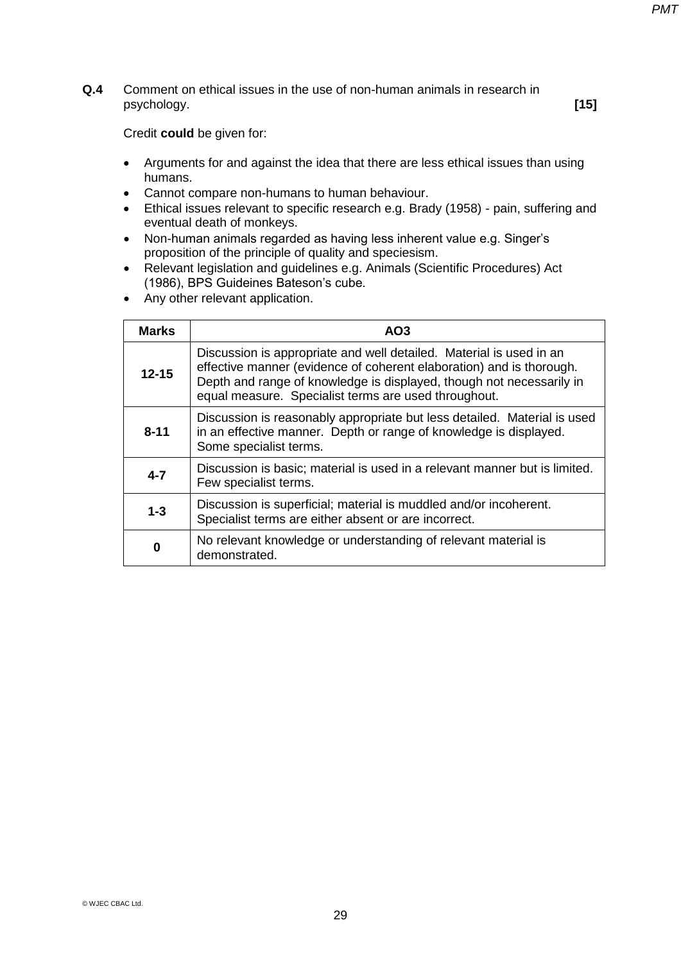**Q.4** Comment on ethical issues in the use of non-human animals in research in psychology. **[15]** 

- Arguments for and against the idea that there are less ethical issues than using humans.
- Cannot compare non-humans to human behaviour.
- Ethical issues relevant to specific research e.g. Brady (1958) pain, suffering and eventual death of monkeys.
- Non-human animals regarded as having less inherent value e.g. Singer's proposition of the principle of quality and speciesism.
- Relevant legislation and guidelines e.g. Animals (Scientific Procedures) Act (1986), BPS Guideines Bateson's cube.
- Any other relevant application.

| <b>Marks</b> | AO <sub>3</sub>                                                                                                                                                                                                                                                             |
|--------------|-----------------------------------------------------------------------------------------------------------------------------------------------------------------------------------------------------------------------------------------------------------------------------|
| $12 - 15$    | Discussion is appropriate and well detailed. Material is used in an<br>effective manner (evidence of coherent elaboration) and is thorough.<br>Depth and range of knowledge is displayed, though not necessarily in<br>equal measure. Specialist terms are used throughout. |
| $8 - 11$     | Discussion is reasonably appropriate but less detailed. Material is used<br>in an effective manner. Depth or range of knowledge is displayed.<br>Some specialist terms.                                                                                                     |
| $4 - 7$      | Discussion is basic; material is used in a relevant manner but is limited.<br>Few specialist terms.                                                                                                                                                                         |
| $1 - 3$      | Discussion is superficial; material is muddled and/or incoherent.<br>Specialist terms are either absent or are incorrect.                                                                                                                                                   |
| 0            | No relevant knowledge or understanding of relevant material is<br>demonstrated.                                                                                                                                                                                             |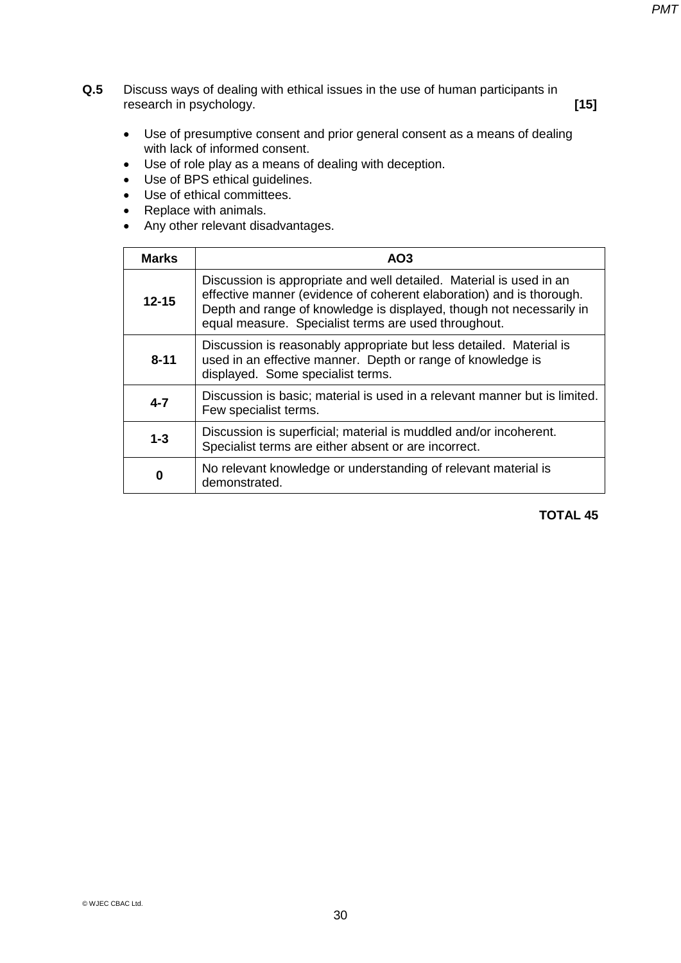**Q.5** Discuss ways of dealing with ethical issues in the use of human participants in research in psychology. **[15]**

- Use of presumptive consent and prior general consent as a means of dealing with lack of informed consent.
- Use of role play as a means of dealing with deception.
- Use of BPS ethical guidelines.
- Use of ethical committees.
- Replace with animals.
- Any other relevant disadvantages.

| <b>Marks</b> | AO <sub>3</sub>                                                                                                                                                                                                                                                             |
|--------------|-----------------------------------------------------------------------------------------------------------------------------------------------------------------------------------------------------------------------------------------------------------------------------|
| $12 - 15$    | Discussion is appropriate and well detailed. Material is used in an<br>effective manner (evidence of coherent elaboration) and is thorough.<br>Depth and range of knowledge is displayed, though not necessarily in<br>equal measure. Specialist terms are used throughout. |
| $8 - 11$     | Discussion is reasonably appropriate but less detailed. Material is<br>used in an effective manner. Depth or range of knowledge is<br>displayed. Some specialist terms.                                                                                                     |
| $4 - 7$      | Discussion is basic; material is used in a relevant manner but is limited.<br>Few specialist terms.                                                                                                                                                                         |
| $1 - 3$      | Discussion is superficial; material is muddled and/or incoherent.<br>Specialist terms are either absent or are incorrect.                                                                                                                                                   |
| 0            | No relevant knowledge or understanding of relevant material is<br>demonstrated.                                                                                                                                                                                             |

### **TOTAL 45**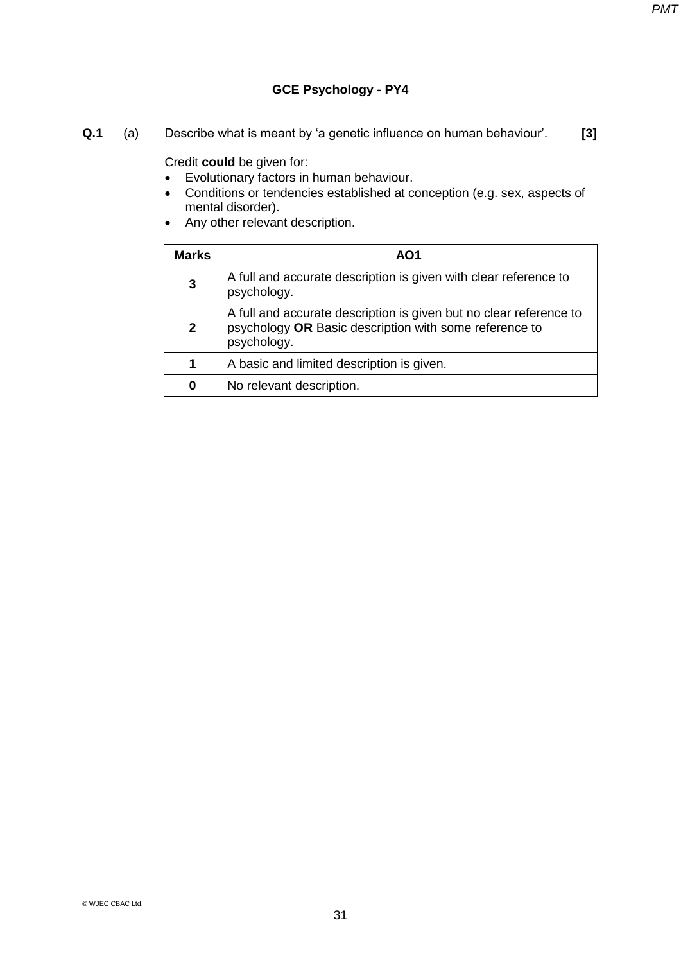# **GCE Psychology - PY4**

**Q.1** (a) Describe what is meant by 'a genetic influence on human behaviour'. **[3]** 

- Evolutionary factors in human behaviour.
- Conditions or tendencies established at conception (e.g. sex, aspects of mental disorder).
- Any other relevant description.

| <b>Marks</b> | AO1                                                                                                                                         |
|--------------|---------------------------------------------------------------------------------------------------------------------------------------------|
| 3            | A full and accurate description is given with clear reference to<br>psychology.                                                             |
| $\mathbf{2}$ | A full and accurate description is given but no clear reference to<br>psychology OR Basic description with some reference to<br>psychology. |
| 1            | A basic and limited description is given.                                                                                                   |
| 0            | No relevant description.                                                                                                                    |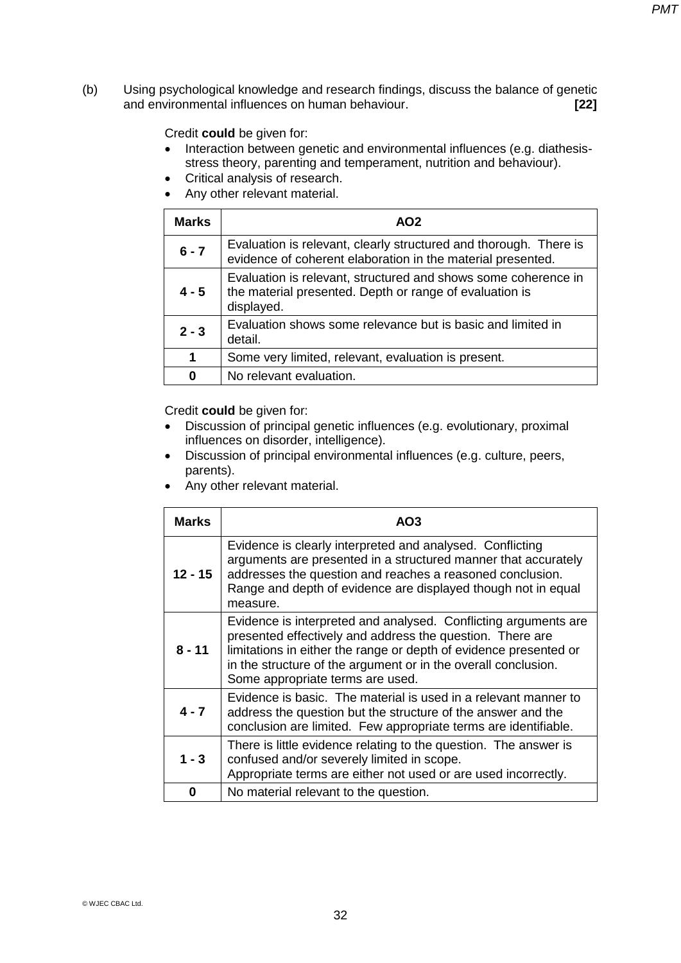(b) Using psychological knowledge and research findings, discuss the balance of genetic and environmental influences on human behaviour. **[22]**

Credit **could** be given for:

- Interaction between genetic and environmental influences (e.g. diathesisstress theory, parenting and temperament, nutrition and behaviour).
- Critical analysis of research.
- Any other relevant material.

| <b>Marks</b> | AO <sub>2</sub>                                                                                                                         |
|--------------|-----------------------------------------------------------------------------------------------------------------------------------------|
| $6 - 7$      | Evaluation is relevant, clearly structured and thorough. There is<br>evidence of coherent elaboration in the material presented.        |
| 4 - 5        | Evaluation is relevant, structured and shows some coherence in<br>the material presented. Depth or range of evaluation is<br>displayed. |
| $2 - 3$      | Evaluation shows some relevance but is basic and limited in<br>detail.                                                                  |
| 1            | Some very limited, relevant, evaluation is present.                                                                                     |
| O            | No relevant evaluation.                                                                                                                 |

- Discussion of principal genetic influences (e.g. evolutionary, proximal influences on disorder, intelligence).
- Discussion of principal environmental influences (e.g. culture, peers, parents).
- Any other relevant material.

| <b>Marks</b> | AO3                                                                                                                                                                                                                                                                                                     |
|--------------|---------------------------------------------------------------------------------------------------------------------------------------------------------------------------------------------------------------------------------------------------------------------------------------------------------|
| $12 - 15$    | Evidence is clearly interpreted and analysed. Conflicting<br>arguments are presented in a structured manner that accurately<br>addresses the question and reaches a reasoned conclusion.<br>Range and depth of evidence are displayed though not in equal<br>measure.                                   |
| $8 - 11$     | Evidence is interpreted and analysed. Conflicting arguments are<br>presented effectively and address the question. There are<br>limitations in either the range or depth of evidence presented or<br>in the structure of the argument or in the overall conclusion.<br>Some appropriate terms are used. |
| $4 - 7$      | Evidence is basic. The material is used in a relevant manner to<br>address the question but the structure of the answer and the<br>conclusion are limited. Few appropriate terms are identifiable.                                                                                                      |
| $1 - 3$      | There is little evidence relating to the question. The answer is<br>confused and/or severely limited in scope.<br>Appropriate terms are either not used or are used incorrectly.                                                                                                                        |
| ŋ            | No material relevant to the question.                                                                                                                                                                                                                                                                   |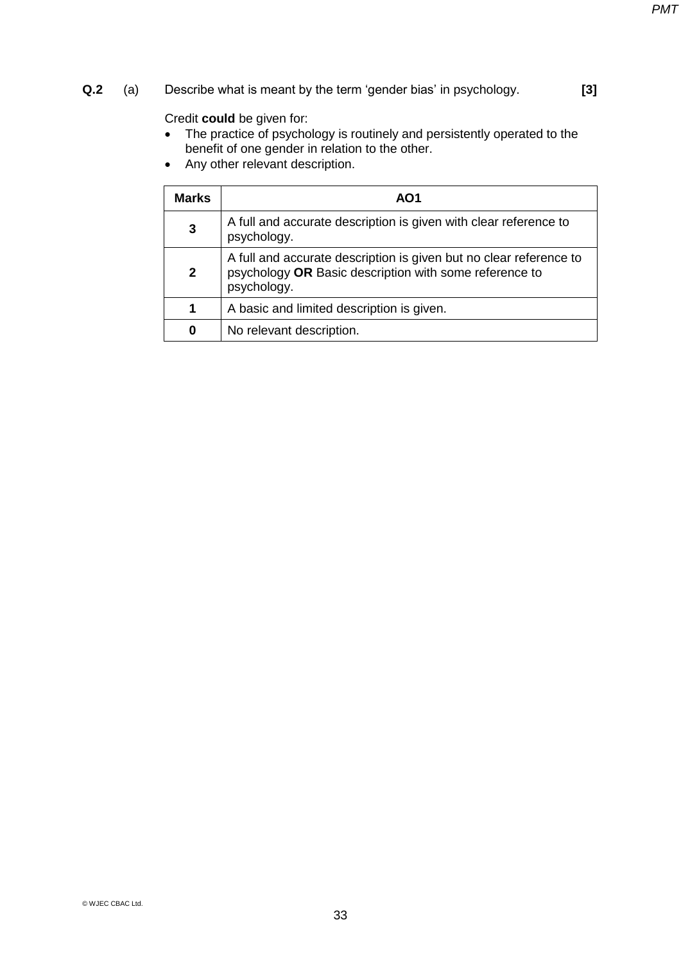## **Q.2** (a) Describe what is meant by the term 'gender bias' in psychology. **[3]**

- The practice of psychology is routinely and persistently operated to the benefit of one gender in relation to the other.
- Any other relevant description.

| <b>Marks</b> | AO1                                                                                                                                         |
|--------------|---------------------------------------------------------------------------------------------------------------------------------------------|
| 3            | A full and accurate description is given with clear reference to<br>psychology.                                                             |
| $\mathbf{2}$ | A full and accurate description is given but no clear reference to<br>psychology OR Basic description with some reference to<br>psychology. |
| 1            | A basic and limited description is given.                                                                                                   |
| 0            | No relevant description.                                                                                                                    |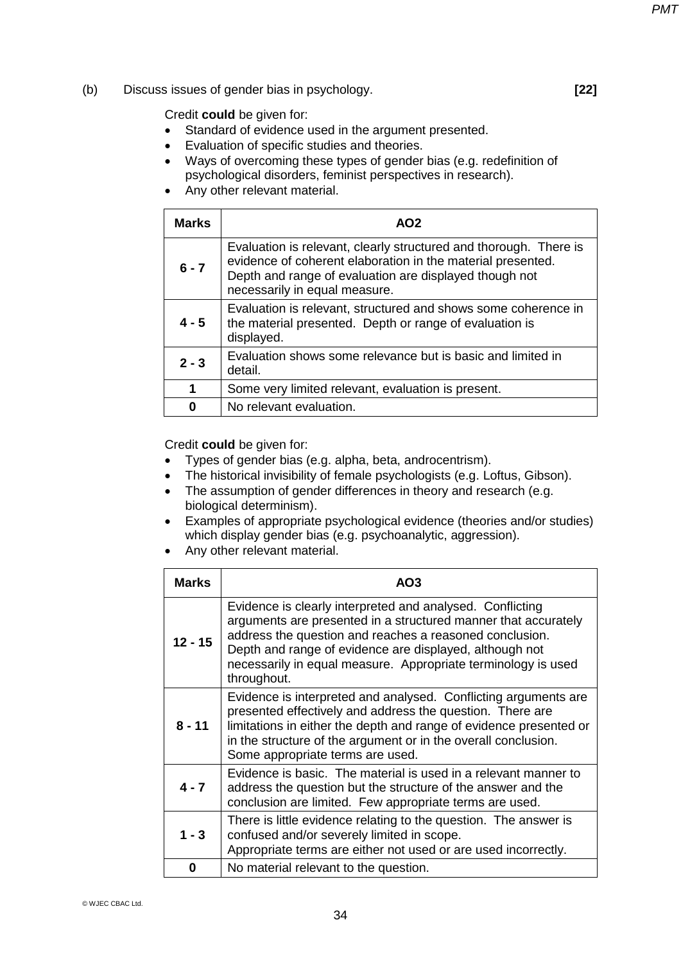#### (b) Discuss issues of gender bias in psychology. **[22]**

Credit **could** be given for:

- Standard of evidence used in the argument presented.
- Evaluation of specific studies and theories.
- Ways of overcoming these types of gender bias (e.g. redefinition of psychological disorders, feminist perspectives in research).
- Any other relevant material.

| <b>Marks</b> | AO <sub>2</sub>                                                                                                                                                                                                             |
|--------------|-----------------------------------------------------------------------------------------------------------------------------------------------------------------------------------------------------------------------------|
| $6 - 7$      | Evaluation is relevant, clearly structured and thorough. There is<br>evidence of coherent elaboration in the material presented.<br>Depth and range of evaluation are displayed though not<br>necessarily in equal measure. |
| $4 - 5$      | Evaluation is relevant, structured and shows some coherence in<br>the material presented. Depth or range of evaluation is<br>displayed.                                                                                     |
| $2 - 3$      | Evaluation shows some relevance but is basic and limited in<br>detail.                                                                                                                                                      |
| 1            | Some very limited relevant, evaluation is present.                                                                                                                                                                          |
| ŋ            | No relevant evaluation.                                                                                                                                                                                                     |

- Types of gender bias (e.g. alpha, beta, androcentrism).
- The historical invisibility of female psychologists (e.g. Loftus, Gibson).
- The assumption of gender differences in theory and research (e.g. biological determinism).
- Examples of appropriate psychological evidence (theories and/or studies) which display gender bias (e.g. psychoanalytic, aggression).
- Any other relevant material.

| <b>Marks</b> | AO3                                                                                                                                                                                                                                                                                                                               |
|--------------|-----------------------------------------------------------------------------------------------------------------------------------------------------------------------------------------------------------------------------------------------------------------------------------------------------------------------------------|
| $12 - 15$    | Evidence is clearly interpreted and analysed. Conflicting<br>arguments are presented in a structured manner that accurately<br>address the question and reaches a reasoned conclusion.<br>Depth and range of evidence are displayed, although not<br>necessarily in equal measure. Appropriate terminology is used<br>throughout. |
| $8 - 11$     | Evidence is interpreted and analysed. Conflicting arguments are<br>presented effectively and address the question. There are<br>limitations in either the depth and range of evidence presented or<br>in the structure of the argument or in the overall conclusion.<br>Some appropriate terms are used.                          |
| $4 - 7$      | Evidence is basic. The material is used in a relevant manner to<br>address the question but the structure of the answer and the<br>conclusion are limited. Few appropriate terms are used.                                                                                                                                        |
| $1 - 3$      | There is little evidence relating to the question. The answer is<br>confused and/or severely limited in scope.<br>Appropriate terms are either not used or are used incorrectly.                                                                                                                                                  |
| 0            | No material relevant to the question.                                                                                                                                                                                                                                                                                             |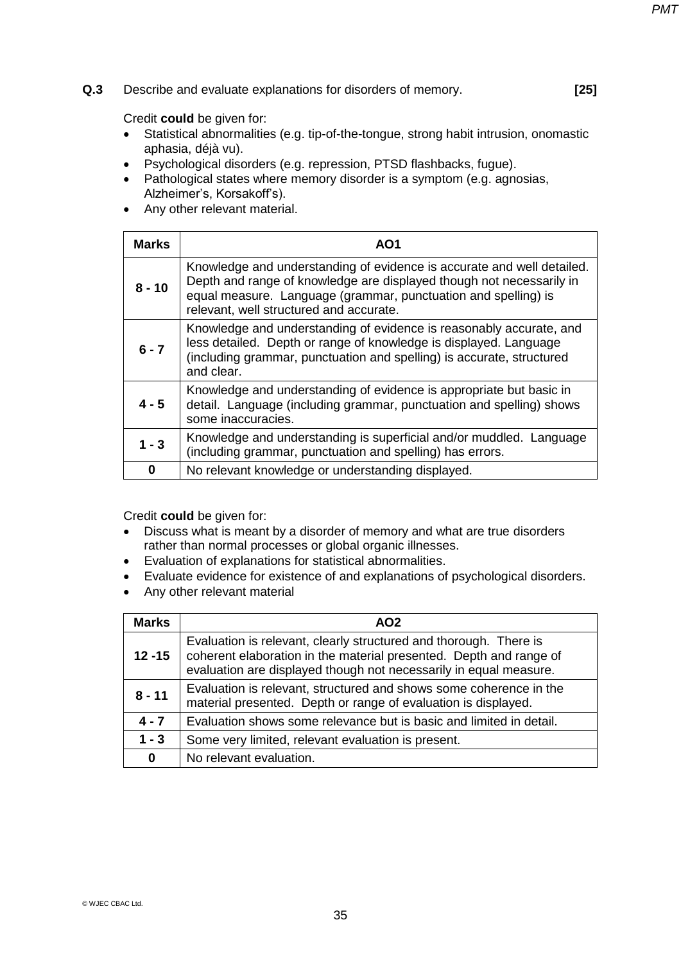**Q.3** Describe and evaluate explanations for disorders of memory. **[25]** 

Credit **could** be given for:

- Statistical abnormalities (e.g. tip-of-the-tongue, strong habit intrusion, onomastic aphasia, déjà vu).
- Psychological disorders (e.g. repression, PTSD flashbacks, fugue).
- Pathological states where memory disorder is a symptom (e.g. agnosias, Alzheimer's, Korsakoff's).
- Any other relevant material.

| <b>Marks</b> | AO1                                                                                                                                                                                                                                                         |
|--------------|-------------------------------------------------------------------------------------------------------------------------------------------------------------------------------------------------------------------------------------------------------------|
| $8 - 10$     | Knowledge and understanding of evidence is accurate and well detailed.<br>Depth and range of knowledge are displayed though not necessarily in<br>equal measure. Language (grammar, punctuation and spelling) is<br>relevant, well structured and accurate. |
| $6 - 7$      | Knowledge and understanding of evidence is reasonably accurate, and<br>less detailed. Depth or range of knowledge is displayed. Language<br>(including grammar, punctuation and spelling) is accurate, structured<br>and clear.                             |
| $4 - 5$      | Knowledge and understanding of evidence is appropriate but basic in<br>detail. Language (including grammar, punctuation and spelling) shows<br>some inaccuracies.                                                                                           |
| $1 - 3$      | Knowledge and understanding is superficial and/or muddled. Language<br>(including grammar, punctuation and spelling) has errors.                                                                                                                            |
| 0            | No relevant knowledge or understanding displayed.                                                                                                                                                                                                           |

- Discuss what is meant by a disorder of memory and what are true disorders rather than normal processes or global organic illnesses.
- Evaluation of explanations for statistical abnormalities.
- Evaluate evidence for existence of and explanations of psychological disorders.
- Any other relevant material

| <b>Marks</b> | AO <sub>2</sub>                                                                                                                                                                                              |
|--------------|--------------------------------------------------------------------------------------------------------------------------------------------------------------------------------------------------------------|
| $12 - 15$    | Evaluation is relevant, clearly structured and thorough. There is<br>coherent elaboration in the material presented. Depth and range of<br>evaluation are displayed though not necessarily in equal measure. |
| $8 - 11$     | Evaluation is relevant, structured and shows some coherence in the<br>material presented. Depth or range of evaluation is displayed.                                                                         |
| $4 - 7$      | Evaluation shows some relevance but is basic and limited in detail.                                                                                                                                          |
| $1 - 3$      | Some very limited, relevant evaluation is present.                                                                                                                                                           |
| 0            | No relevant evaluation.                                                                                                                                                                                      |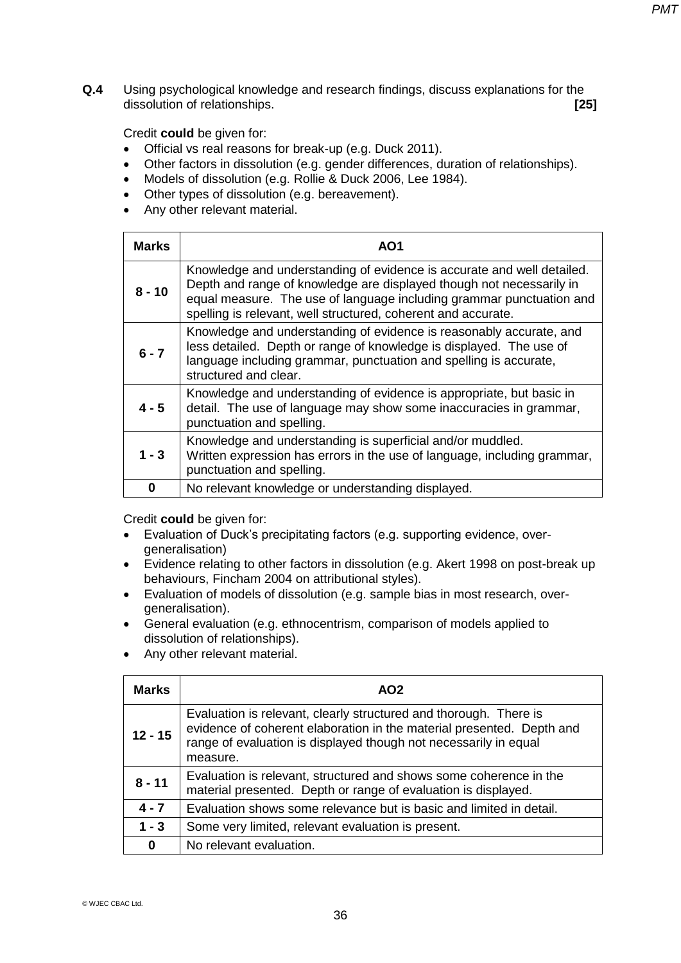**Q.4** Using psychological knowledge and research findings, discuss explanations for the dissolution of relationships. **[25]** 

Credit **could** be given for:

- Official vs real reasons for break-up (e.g. Duck 2011).
- Other factors in dissolution (e.g. gender differences, duration of relationships).
- Models of dissolution (e.g. Rollie & Duck 2006, Lee 1984).
- Other types of dissolution (e.g. bereavement).
- Any other relevant material.

| <b>Marks</b> | AO1                                                                                                                                                                                                                                                                                     |
|--------------|-----------------------------------------------------------------------------------------------------------------------------------------------------------------------------------------------------------------------------------------------------------------------------------------|
| $8 - 10$     | Knowledge and understanding of evidence is accurate and well detailed.<br>Depth and range of knowledge are displayed though not necessarily in<br>equal measure. The use of language including grammar punctuation and<br>spelling is relevant, well structured, coherent and accurate. |
| $6 - 7$      | Knowledge and understanding of evidence is reasonably accurate, and<br>less detailed. Depth or range of knowledge is displayed. The use of<br>language including grammar, punctuation and spelling is accurate,<br>structured and clear.                                                |
| $4 - 5$      | Knowledge and understanding of evidence is appropriate, but basic in<br>detail. The use of language may show some inaccuracies in grammar,<br>punctuation and spelling.                                                                                                                 |
| $1 - 3$      | Knowledge and understanding is superficial and/or muddled.<br>Written expression has errors in the use of language, including grammar,<br>punctuation and spelling.                                                                                                                     |
| 0            | No relevant knowledge or understanding displayed.                                                                                                                                                                                                                                       |

- Evaluation of Duck's precipitating factors (e.g. supporting evidence, overgeneralisation)
- Evidence relating to other factors in dissolution (e.g. Akert 1998 on post-break up behaviours, Fincham 2004 on attributional styles).
- Evaluation of models of dissolution (e.g. sample bias in most research, overgeneralisation).
- General evaluation (e.g. ethnocentrism, comparison of models applied to dissolution of relationships).
- Any other relevant material.

| <b>Marks</b> | AO <sub>2</sub>                                                                                                                                                                                                            |
|--------------|----------------------------------------------------------------------------------------------------------------------------------------------------------------------------------------------------------------------------|
| $12 - 15$    | Evaluation is relevant, clearly structured and thorough. There is<br>evidence of coherent elaboration in the material presented. Depth and<br>range of evaluation is displayed though not necessarily in equal<br>measure. |
| $8 - 11$     | Evaluation is relevant, structured and shows some coherence in the<br>material presented. Depth or range of evaluation is displayed.                                                                                       |
| $4 - 7$      | Evaluation shows some relevance but is basic and limited in detail.                                                                                                                                                        |
| $1 - 3$      | Some very limited, relevant evaluation is present.                                                                                                                                                                         |
| 0            | No relevant evaluation.                                                                                                                                                                                                    |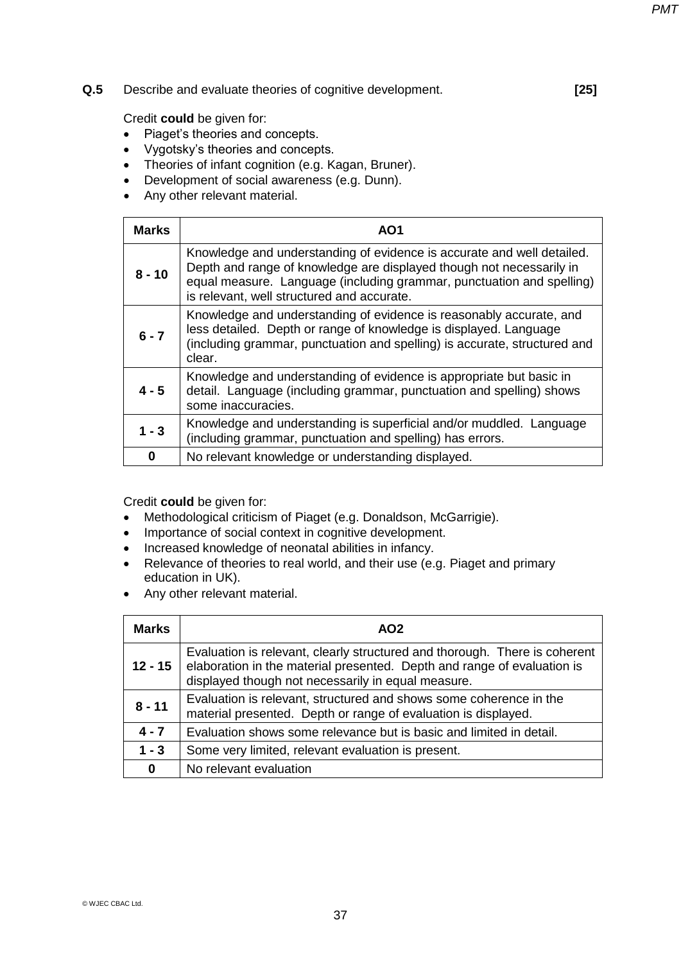#### **Q.5** Describe and evaluate theories of cognitive development. **[25]**

Credit **could** be given for:

- Piaget's theories and concepts.
- Vygotsky's theories and concepts.
- Theories of infant cognition (e.g. Kagan, Bruner).
- Development of social awareness (e.g. Dunn).
- Any other relevant material.

| <b>Marks</b> | AO1                                                                                                                                                                                                                                                                   |
|--------------|-----------------------------------------------------------------------------------------------------------------------------------------------------------------------------------------------------------------------------------------------------------------------|
| $8 - 10$     | Knowledge and understanding of evidence is accurate and well detailed.<br>Depth and range of knowledge are displayed though not necessarily in<br>equal measure. Language (including grammar, punctuation and spelling)<br>is relevant, well structured and accurate. |
| $6 - 7$      | Knowledge and understanding of evidence is reasonably accurate, and<br>less detailed. Depth or range of knowledge is displayed. Language<br>(including grammar, punctuation and spelling) is accurate, structured and<br>clear.                                       |
| $4 - 5$      | Knowledge and understanding of evidence is appropriate but basic in<br>detail. Language (including grammar, punctuation and spelling) shows<br>some inaccuracies.                                                                                                     |
| $1 - 3$      | Knowledge and understanding is superficial and/or muddled. Language<br>(including grammar, punctuation and spelling) has errors.                                                                                                                                      |
| 0            | No relevant knowledge or understanding displayed.                                                                                                                                                                                                                     |

- Methodological criticism of Piaget (e.g. Donaldson, McGarrigie).
- Importance of social context in cognitive development.
- Increased knowledge of neonatal abilities in infancy.
- Relevance of theories to real world, and their use (e.g. Piaget and primary education in UK).
- Any other relevant material.

| Marks     | AO <sub>2</sub>                                                                                                                                                                                             |
|-----------|-------------------------------------------------------------------------------------------------------------------------------------------------------------------------------------------------------------|
| $12 - 15$ | Evaluation is relevant, clearly structured and thorough. There is coherent<br>elaboration in the material presented. Depth and range of evaluation is<br>displayed though not necessarily in equal measure. |
| $8 - 11$  | Evaluation is relevant, structured and shows some coherence in the<br>material presented. Depth or range of evaluation is displayed.                                                                        |
| $4 - 7$   | Evaluation shows some relevance but is basic and limited in detail.                                                                                                                                         |
| $1 - 3$   | Some very limited, relevant evaluation is present.                                                                                                                                                          |
| 0         | No relevant evaluation                                                                                                                                                                                      |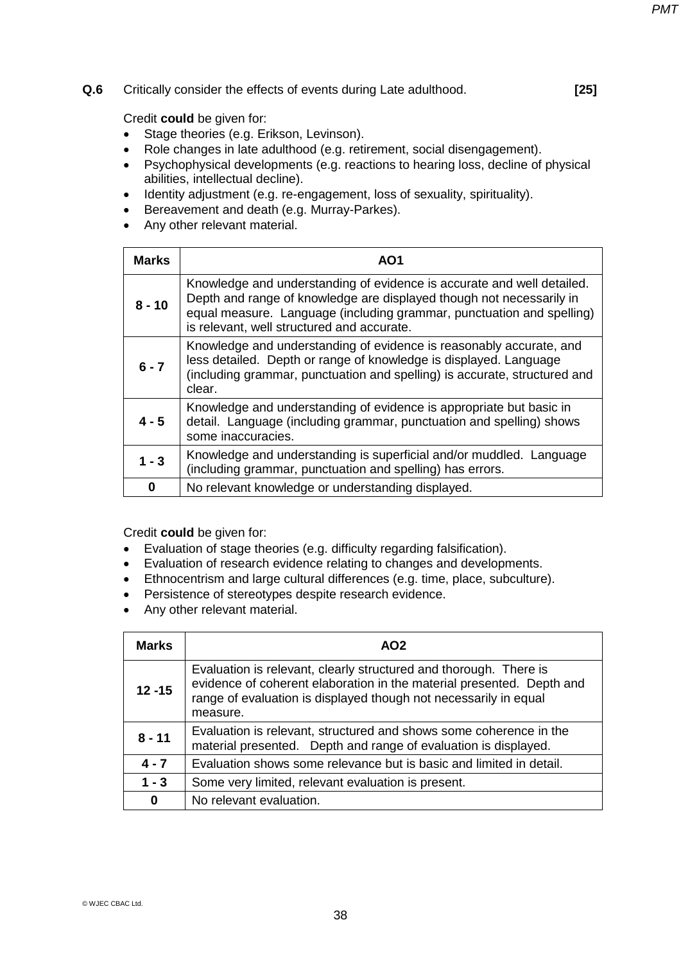#### **Q.6** Critically consider the effects of events during Late adulthood. **[25]**

Credit **could** be given for:

- Stage theories (e.g. Erikson, Levinson).
- Role changes in late adulthood (e.g. retirement, social disengagement).
- Psychophysical developments (e.g. reactions to hearing loss, decline of physical abilities, intellectual decline).
- Identity adjustment (e.g. re-engagement, loss of sexuality, spirituality).
- Bereavement and death (e.g. Murray-Parkes).
- Any other relevant material.

| <b>Marks</b> | AO1                                                                                                                                                                                                                                                                   |
|--------------|-----------------------------------------------------------------------------------------------------------------------------------------------------------------------------------------------------------------------------------------------------------------------|
| $8 - 10$     | Knowledge and understanding of evidence is accurate and well detailed.<br>Depth and range of knowledge are displayed though not necessarily in<br>equal measure. Language (including grammar, punctuation and spelling)<br>is relevant, well structured and accurate. |
| $6 - 7$      | Knowledge and understanding of evidence is reasonably accurate, and<br>less detailed. Depth or range of knowledge is displayed. Language<br>(including grammar, punctuation and spelling) is accurate, structured and<br>clear.                                       |
| $4 - 5$      | Knowledge and understanding of evidence is appropriate but basic in<br>detail. Language (including grammar, punctuation and spelling) shows<br>some inaccuracies.                                                                                                     |
| $1 - 3$      | Knowledge and understanding is superficial and/or muddled. Language<br>(including grammar, punctuation and spelling) has errors.                                                                                                                                      |
| 0            | No relevant knowledge or understanding displayed.                                                                                                                                                                                                                     |

- Evaluation of stage theories (e.g. difficulty regarding falsification).
- Evaluation of research evidence relating to changes and developments.
- Ethnocentrism and large cultural differences (e.g. time, place, subculture).
- Persistence of stereotypes despite research evidence.
- Any other relevant material.

| <b>Marks</b> | AO <sub>2</sub>                                                                                                                                                                                                            |
|--------------|----------------------------------------------------------------------------------------------------------------------------------------------------------------------------------------------------------------------------|
| $12 - 15$    | Evaluation is relevant, clearly structured and thorough. There is<br>evidence of coherent elaboration in the material presented. Depth and<br>range of evaluation is displayed though not necessarily in equal<br>measure. |
| $8 - 11$     | Evaluation is relevant, structured and shows some coherence in the<br>material presented. Depth and range of evaluation is displayed.                                                                                      |
| $4 - 7$      | Evaluation shows some relevance but is basic and limited in detail.                                                                                                                                                        |
| $1 - 3$      | Some very limited, relevant evaluation is present.                                                                                                                                                                         |
| 0            | No relevant evaluation.                                                                                                                                                                                                    |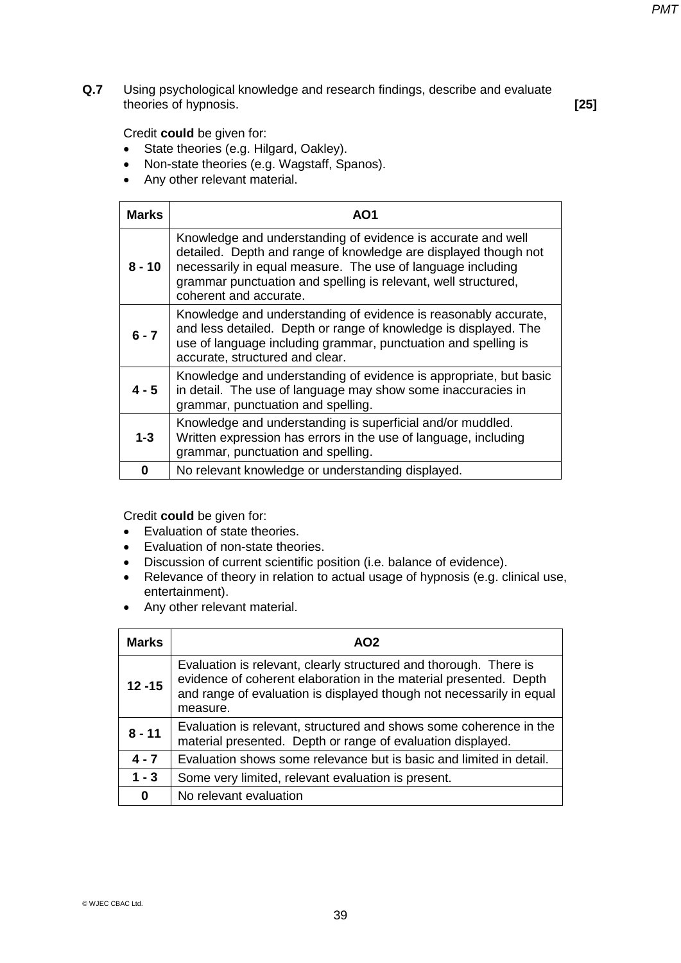**Q.7** Using psychological knowledge and research findings, describe and evaluate theories of hypnosis. **[25]** 

Credit **could** be given for:

- State theories (e.g. Hilgard, Oakley).
- Non-state theories (e.g. Wagstaff, Spanos).
- Any other relevant material.

| <b>Marks</b> | AO1                                                                                                                                                                                                                                                                                        |
|--------------|--------------------------------------------------------------------------------------------------------------------------------------------------------------------------------------------------------------------------------------------------------------------------------------------|
| $8 - 10$     | Knowledge and understanding of evidence is accurate and well<br>detailed. Depth and range of knowledge are displayed though not<br>necessarily in equal measure. The use of language including<br>grammar punctuation and spelling is relevant, well structured,<br>coherent and accurate. |
| $6 - 7$      | Knowledge and understanding of evidence is reasonably accurate,<br>and less detailed. Depth or range of knowledge is displayed. The<br>use of language including grammar, punctuation and spelling is<br>accurate, structured and clear.                                                   |
| $4 - 5$      | Knowledge and understanding of evidence is appropriate, but basic<br>in detail. The use of language may show some inaccuracies in<br>grammar, punctuation and spelling.                                                                                                                    |
| $1 - 3$      | Knowledge and understanding is superficial and/or muddled.<br>Written expression has errors in the use of language, including<br>grammar, punctuation and spelling.                                                                                                                        |
| 0            | No relevant knowledge or understanding displayed.                                                                                                                                                                                                                                          |

- Evaluation of state theories.
- Evaluation of non-state theories.
- Discussion of current scientific position (i.e. balance of evidence).
- Relevance of theory in relation to actual usage of hypnosis (e.g. clinical use, entertainment).
- Any other relevant material.

| <b>Marks</b> | AO2                                                                                                                                                                                                                        |
|--------------|----------------------------------------------------------------------------------------------------------------------------------------------------------------------------------------------------------------------------|
| $12 - 15$    | Evaluation is relevant, clearly structured and thorough. There is<br>evidence of coherent elaboration in the material presented. Depth<br>and range of evaluation is displayed though not necessarily in equal<br>measure. |
| $8 - 11$     | Evaluation is relevant, structured and shows some coherence in the<br>material presented. Depth or range of evaluation displayed.                                                                                          |
| $4 - 7$      | Evaluation shows some relevance but is basic and limited in detail.                                                                                                                                                        |
| $1 - 3$      | Some very limited, relevant evaluation is present.                                                                                                                                                                         |
| 0            | No relevant evaluation                                                                                                                                                                                                     |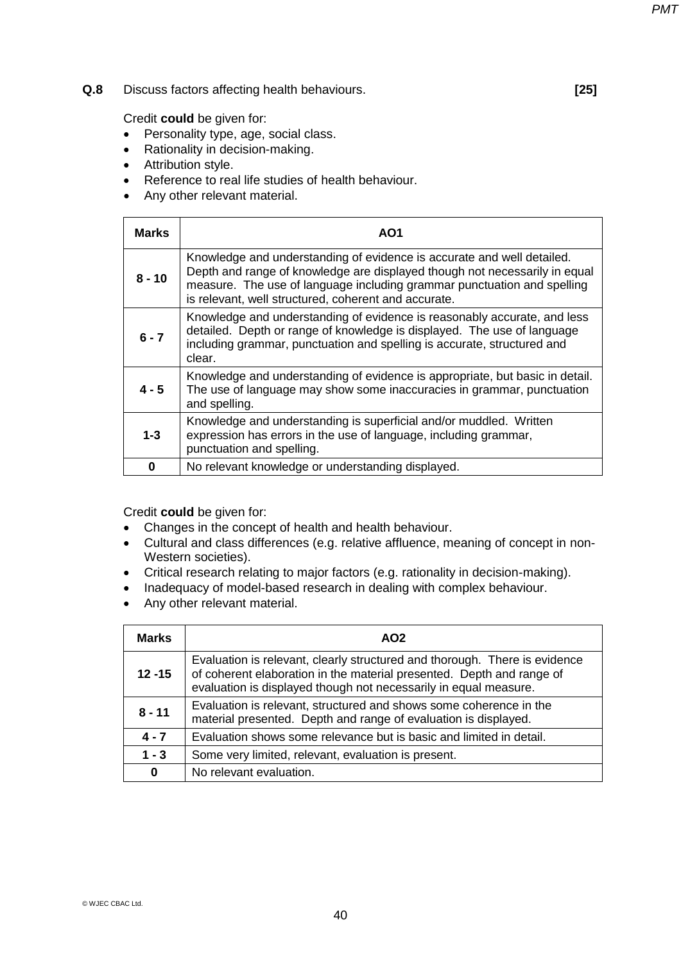### **Q.8** Discuss factors affecting health behaviours. **[25]**

Credit **could** be given for:

- Personality type, age, social class.
- Rationality in decision-making.
- Attribution style.
- Reference to real life studies of health behaviour.
- Any other relevant material.

| <b>Marks</b> | AO <sub>1</sub>                                                                                                                                                                                                                                                                         |
|--------------|-----------------------------------------------------------------------------------------------------------------------------------------------------------------------------------------------------------------------------------------------------------------------------------------|
| $8 - 10$     | Knowledge and understanding of evidence is accurate and well detailed.<br>Depth and range of knowledge are displayed though not necessarily in equal<br>measure. The use of language including grammar punctuation and spelling<br>is relevant, well structured, coherent and accurate. |
| $6 - 7$      | Knowledge and understanding of evidence is reasonably accurate, and less<br>detailed. Depth or range of knowledge is displayed. The use of language<br>including grammar, punctuation and spelling is accurate, structured and<br>clear.                                                |
| $4 - 5$      | Knowledge and understanding of evidence is appropriate, but basic in detail.<br>The use of language may show some inaccuracies in grammar, punctuation<br>and spelling.                                                                                                                 |
| $1 - 3$      | Knowledge and understanding is superficial and/or muddled. Written<br>expression has errors in the use of language, including grammar,<br>punctuation and spelling.                                                                                                                     |
| 0            | No relevant knowledge or understanding displayed.                                                                                                                                                                                                                                       |

- Changes in the concept of health and health behaviour.
- Cultural and class differences (e.g. relative affluence, meaning of concept in non-Western societies).
- Critical research relating to major factors (e.g. rationality in decision-making).
- Inadequacy of model-based research in dealing with complex behaviour.
- Any other relevant material.

| <b>Marks</b> | AO <sub>2</sub>                                                                                                                                                                                                         |
|--------------|-------------------------------------------------------------------------------------------------------------------------------------------------------------------------------------------------------------------------|
| $12 - 15$    | Evaluation is relevant, clearly structured and thorough. There is evidence<br>of coherent elaboration in the material presented. Depth and range of<br>evaluation is displayed though not necessarily in equal measure. |
| $8 - 11$     | Evaluation is relevant, structured and shows some coherence in the<br>material presented. Depth and range of evaluation is displayed.                                                                                   |
| $4 - 7$      | Evaluation shows some relevance but is basic and limited in detail.                                                                                                                                                     |
| $1 - 3$      | Some very limited, relevant, evaluation is present.                                                                                                                                                                     |
| $\bf{0}$     | No relevant evaluation.                                                                                                                                                                                                 |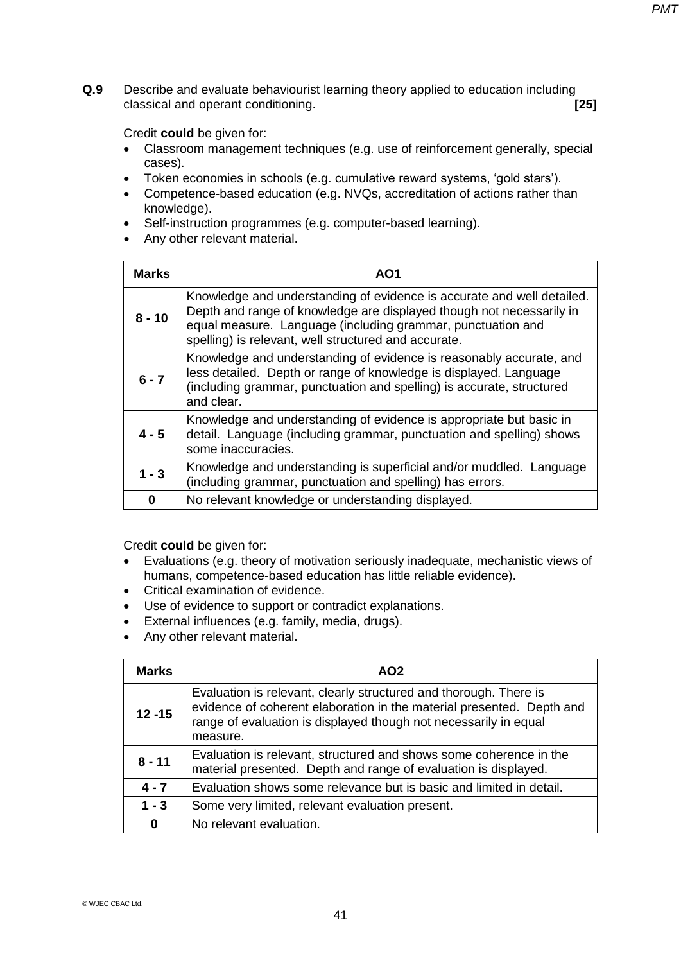**Q.9** Describe and evaluate behaviourist learning theory applied to education including classical and operant conditioning. **[25]** 

Credit **could** be given for:

- Classroom management techniques (e.g. use of reinforcement generally, special cases).
- Token economies in schools (e.g. cumulative reward systems, 'gold stars').
- Competence-based education (e.g. NVQs, accreditation of actions rather than knowledge).
- Self-instruction programmes (e.g. computer-based learning).
- Any other relevant material.

| <b>Marks</b> | AO1                                                                                                                                                                                                                                                                   |
|--------------|-----------------------------------------------------------------------------------------------------------------------------------------------------------------------------------------------------------------------------------------------------------------------|
| $8 - 10$     | Knowledge and understanding of evidence is accurate and well detailed.<br>Depth and range of knowledge are displayed though not necessarily in<br>equal measure. Language (including grammar, punctuation and<br>spelling) is relevant, well structured and accurate. |
| $6 - 7$      | Knowledge and understanding of evidence is reasonably accurate, and<br>less detailed. Depth or range of knowledge is displayed. Language<br>(including grammar, punctuation and spelling) is accurate, structured<br>and clear.                                       |
| $4 - 5$      | Knowledge and understanding of evidence is appropriate but basic in<br>detail. Language (including grammar, punctuation and spelling) shows<br>some inaccuracies.                                                                                                     |
| $1 - 3$      | Knowledge and understanding is superficial and/or muddled. Language<br>(including grammar, punctuation and spelling) has errors.                                                                                                                                      |
| 0            | No relevant knowledge or understanding displayed.                                                                                                                                                                                                                     |

- Evaluations (e.g. theory of motivation seriously inadequate, mechanistic views of humans, competence-based education has little reliable evidence).
- Critical examination of evidence.
- Use of evidence to support or contradict explanations.
- External influences (e.g. family, media, drugs).
- Any other relevant material.

| <b>Marks</b> | AO <sub>2</sub>                                                                                                                                                                                                            |
|--------------|----------------------------------------------------------------------------------------------------------------------------------------------------------------------------------------------------------------------------|
| $12 - 15$    | Evaluation is relevant, clearly structured and thorough. There is<br>evidence of coherent elaboration in the material presented. Depth and<br>range of evaluation is displayed though not necessarily in equal<br>measure. |
| $8 - 11$     | Evaluation is relevant, structured and shows some coherence in the<br>material presented. Depth and range of evaluation is displayed.                                                                                      |
| $4 - 7$      | Evaluation shows some relevance but is basic and limited in detail.                                                                                                                                                        |
| $1 - 3$      | Some very limited, relevant evaluation present.                                                                                                                                                                            |
| $\bf{0}$     | No relevant evaluation.                                                                                                                                                                                                    |